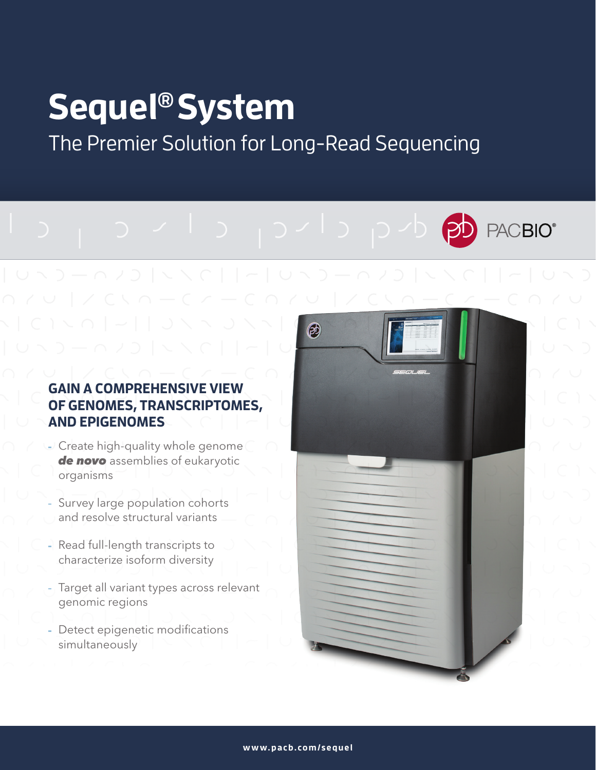# **Sequel® System**

The Premier Solution for Long-Read Sequencing

# **ACBIO®**

# **GAIN A COMPREHENSIVE VIEW OF GENOMES, TRANSCRIPTOMES, AND EPIGENOMES**

- Create high-quality whole genome *de novo* assemblies of eukaryotic organisms
- Survey large population cohorts and resolve structural variants
- Read full-length transcripts to characterize isoform diversity
- Target all variant types across relevant genomic regions
- Detect epigenetic modifications simultaneously